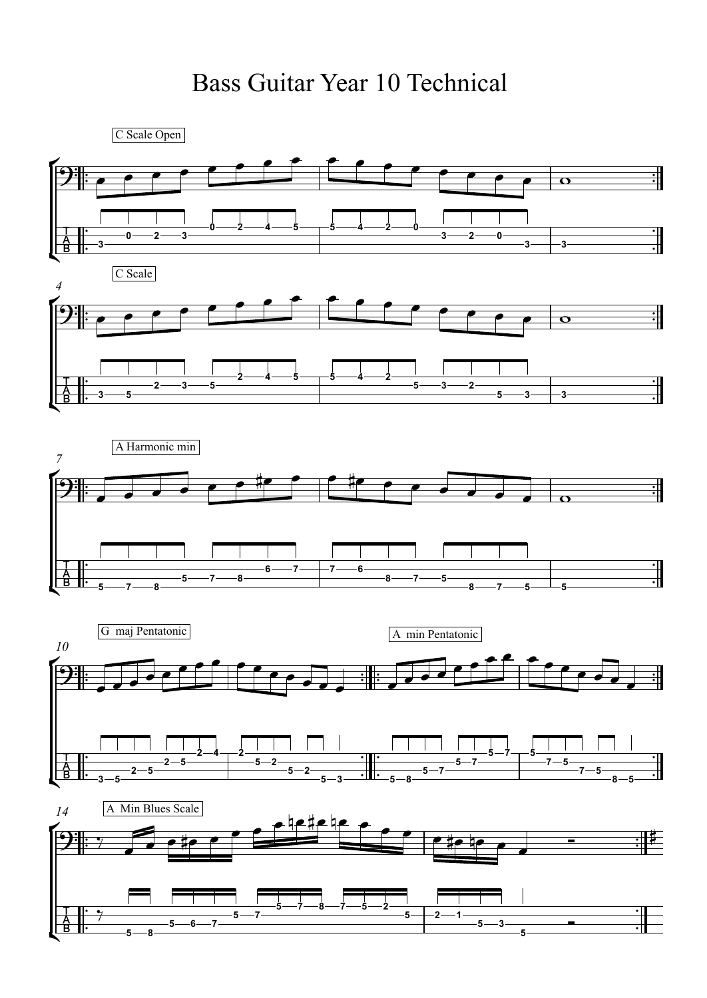## Bass Guitar Year 10 Technical

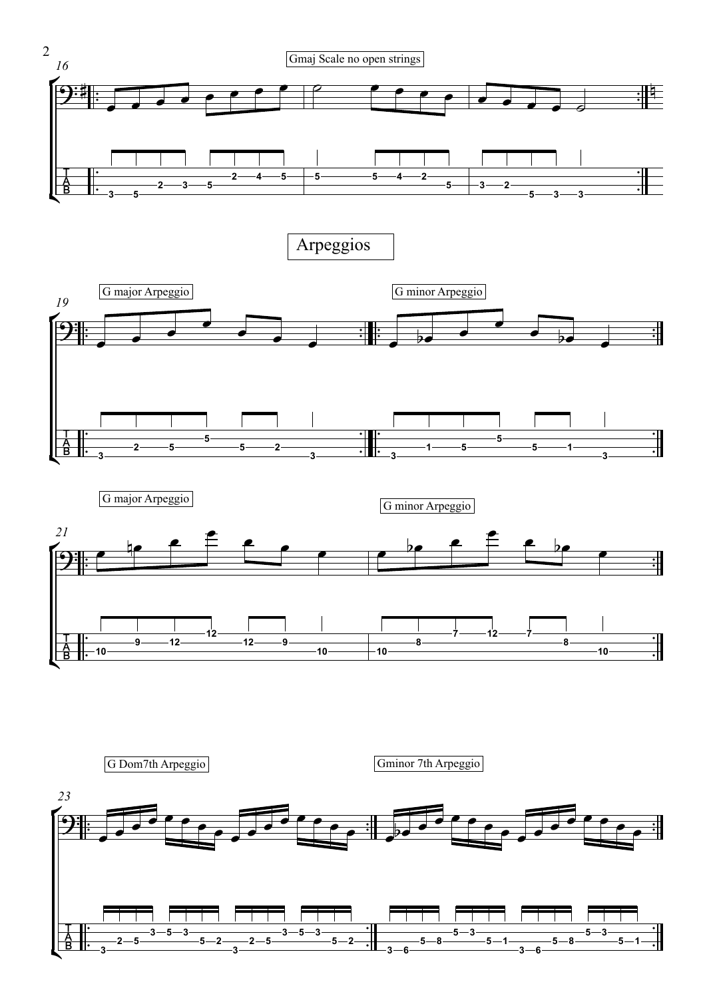